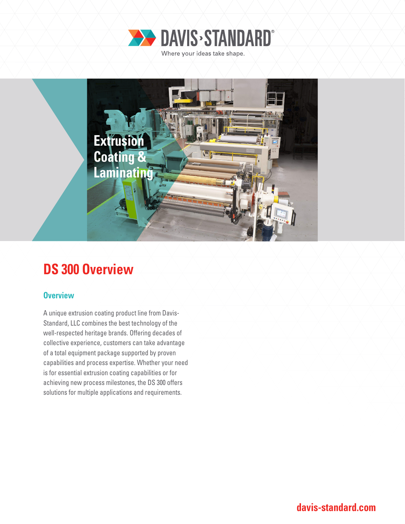



# **DS 300 Overview**

### **Overview**

A unique extrusion coating product line from Davis-Standard, LLC combines the best technology of the well-respected heritage brands. Offering decades of collective experience, customers can take advantage of a total equipment package supported by proven capabilities and process expertise. Whether your need is for essential extrusion coating capabilities or for achieving new process milestones, the DS 300 offers solutions for multiple applications and requirements.

**davis-standard.com**